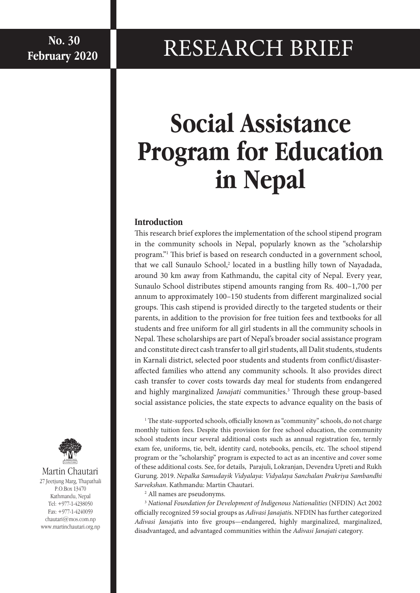## **RESEARCH BRIEF**

# **Social Assistance Program for Education in Nepal**

## **Introduction**

This research brief explores the implementation of the school stipend program in the community schools in Nepal, popularly known as the "scholarship program."1 This brief is based on research conducted in a government school, that we call Sunaulo School,<sup>2</sup> located in a bustling hilly town of Nayadada, around 30 km away from Kathmandu, the capital city of Nepal. Every year, Sunaulo School distributes stipend amounts ranging from Rs. 400–1,700 per annum to approximately 100–150 students from different marginalized social groups. This cash stipend is provided directly to the targeted students or their parents, in addition to the provision for free tuition fees and textbooks for all students and free uniform for all girl students in all the community schools in Nepal. These scholarships are part of Nepal's broader social assistance program and constitute direct cash transfer to all girl students, all Dalit students, students in Karnali district, selected poor students and students from conflict/disasteraffected families who attend any community schools. It also provides direct cash transfer to cover costs towards day meal for students from endangered and highly marginalized *Janajati* communities.<sup>3</sup> Through these group-based social assistance policies, the state expects to advance equality on the basis of

<sup>1</sup> The state-supported schools, officially known as "community" schools, do not charge monthly tuition fees. Despite this provision for free school education, the community school students incur several additional costs such as annual registration fee, termly exam fee, uniforms, tie, belt, identity card, notebooks, pencils, etc. The school stipend program or the "scholarship" program is expected to act as an incentive and cover some of these additional costs. See, for details, Parajuli, Lokranjan, Devendra Upreti and Rukh Gurung. 2019. *Nepalka Samudayik Vidyalaya: Vidyalaya Sanchalan Prakriya Sambandhi Sarvekshan*. Kathmandu: Martin Chautari.

2 All names are pseudonyms.

<sup>3</sup> *National Foundation for Development of Indigenous Nationalities* (NFDIN) Act 2002 officially recognized 59 social groups as *Adivasi Janajati*s. NFDIN has further categorized *Adivasi Janajati*s into five groups—endangered, highly marginalized, marginalized, disadvantaged, and advantaged communities within the *Adivasi Janajati* category.



#### Martin Chautari 27 Jeetjung Marg, Thapathali P.O.Box 13470 Kathmandu, Nepal

Tel: +977-1-4238050 Fax: +977-1-4240059 chautari@mos.com.np www.martinchautari.org.np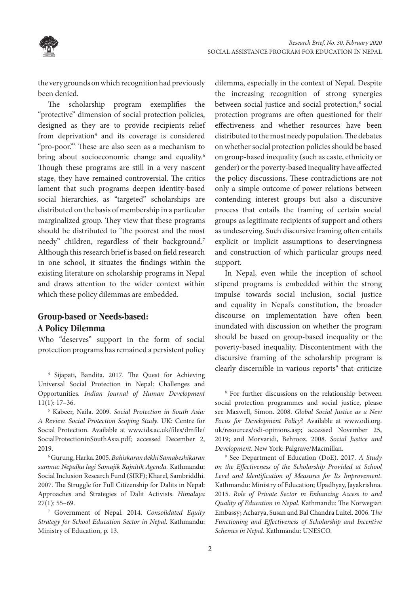

the very grounds on which recognition had previously been denied.

The scholarship program exemplifies the "protective" dimension of social protection policies, designed as they are to provide recipients relief from deprivation<sup>4</sup> and its coverage is considered "pro-poor."5 These are also seen as a mechanism to bring about socioeconomic change and equality.<sup>6</sup> Though these programs are still in a very nascent stage, they have remained controversial. The critics lament that such programs deepen identity-based social hierarchies, as "targeted" scholarships are distributed on the basis of membership in a particular marginalized group. They view that these programs should be distributed to "the poorest and the most needy" children, regardless of their background.7 Although this research brief is based on field research in one school, it situates the findings within the existing literature on scholarship programs in Nepal and draws attention to the wider context within which these policy dilemmas are embedded.

## **Group-based or Needs-based: A Policy Dilemma**

Who "deserves" support in the form of social protection programs has remained a persistent policy

4 Sijapati, Bandita. 2017. The Quest for Achieving Universal Social Protection in Nepal: Challenges and Opportunities. *Indian Journal of Human Development*  $11(1): 17-36.$ 

 Kabeer, Naila. 2009. *Social Protection in South Asia: A Review. Social Protection Scoping Study*. UK: Centre for Social Protection. Available at www.ids.ac.uk/files/dmfile/ SocialProtectioninSouthAsia.pdf; accessed December 2, 2019.

6 Gurung, Harka. 2005. *Bahiskaran dekhi Samabeshikaran samma: Nepalka lagi Samajik Rajnitik Agenda.* Kathmandu: Social Inclusion Research Fund (SIRF); Kharel, Sambriddhi. 2007. The Struggle for Full Citizenship for Dalits in Nepal: Approaches and Strategies of Dalit Activists. *Himalaya*  $27(1): 55-69.$ 

7 Government of Nepal. 2014. *Consolidated Equity Strategy for School Education Sector in Nepal*. Kathmandu: Ministry of Education, p. 13.

dilemma, especially in the context of Nepal. Despite the increasing recognition of strong synergies between social justice and social protection,<sup>8</sup> social protection programs are often questioned for their effectiveness and whether resources have been distributed to the most needy population. The debates on whether social protection policies should be based on group-based inequality (such as caste, ethnicity or gender) or the poverty-based inequality have affected the policy discussions. These contradictions are not only a simple outcome of power relations between contending interest groups but also a discursive process that entails the framing of certain social groups as legitimate recipients of support and others as undeserving. Such discursive framing often entails explicit or implicit assumptions to deservingness and construction of which particular groups need support.

In Nepal, even while the inception of school stipend programs is embedded within the strong impulse towards social inclusion, social justice and equality in Nepal's constitution, the broader discourse on implementation have often been inundated with discussion on whether the program should be based on group-based inequality or the poverty-based inequality. Discontentment with the discursive framing of the scholarship program is clearly discernible in various reports<sup>9</sup> that criticize

8 For further discussions on the relationship between social protection programmes and social justice, please see Maxwell, Simon. 2008. *Global Social Justice as a New Focus for Development Policy*? Available at www.odi.org. uk/resources/odi-opinions.asp; accessed November 25, 2019; and Morvaridi, Behrooz. 2008. *Social Justice and Development*. New York: Palgrave/Macmillan.

9 See Department of Education (DoE). 2017. *A Study on the Effectiveness of the Scholarship Provided at School Level and Identification of Measures for Its Improvement*. Kathmandu: Ministry of Education; Upadhyay, Jayakrishna. 2015. *Role of Private Sector in Enhancing Access to and Quality of Education in Nepal*. Kathmandu: The Norwegian Embassy; Acharya, Susan and Bal Chandra Luitel. 2006. T*he Functioning and Effectiveness of Scholarship and Incentive Schemes in Nepal*. Kathmandu: UNESCO.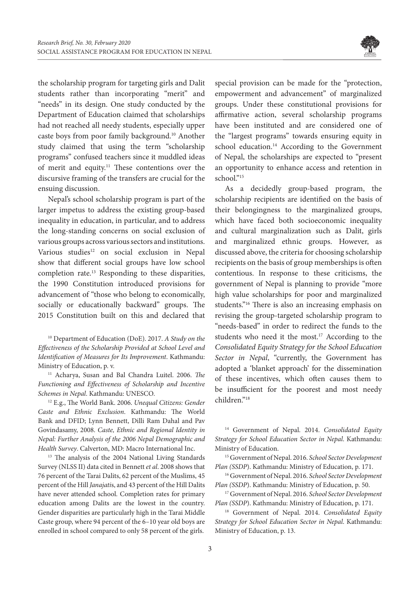

the scholarship program for targeting girls and Dalit students rather than incorporating "merit" and "needs" in its design. One study conducted by the Department of Education claimed that scholarships had not reached all needy students, especially upper caste boys from poor family background.10 Another study claimed that using the term "scholarship programs" confused teachers since it muddled ideas of merit and equity.11 These contentions over the discursive framing of the transfers are crucial for the ensuing discussion.

Nepal's school scholarship program is part of the larger impetus to address the existing group-based inequality in education, in particular, and to address the long-standing concerns on social exclusion of various groups across various sectors and institutions. Various studies<sup>12</sup> on social exclusion in Nepal show that different social groups have low school completion rate.13 Responding to these disparities, the 1990 Constitution introduced provisions for advancement of "those who belong to economically, socially or educationally backward" groups. The 2015 Constitution built on this and declared that

10 Department of Education (DoE). 2017. *A Study on the Effectiveness of the Scholarship Provided at School Level and Identification of Measures for Its Improvement*. Kathmandu: Ministry of Education, p. v.

11 Acharya, Susan and Bal Chandra Luitel. 2006. *The Functioning and Effectiveness of Scholarship and Incentive Schemes in Nepal*. Kathmandu: UNESCO*.*

12 E.g., The World Bank. 2006. *Unequal Citizens: Gender Caste and Ethnic Exclusion*. Kathmandu: The World Bank and DFID; Lynn Bennett, Dilli Ram Dahal and Pav Govindasamy, 2008. *Caste, Ethnic and Regional Identity in Nepal: Further Analysis of the 2006 Nepal Demographic and Health Survey*. Calverton, MD: Macro International Inc.

<sup>13</sup> The analysis of the 2004 National Living Standards Survey (NLSS II) data cited in Bennett *et al*. 2008 shows that 76 percent of the Tarai Dalits, 62 percent of the Muslims, 45 percent of the Hill *Janajati*s, and 43 percent of the Hill Dalits have never attended school. Completion rates for primary education among Dalits are the lowest in the country. Gender disparities are particularly high in the Tarai Middle Caste group, where 94 percent of the 6–10 year old boys are enrolled in school compared to only 58 percent of the girls.

special provision can be made for the "protection, empowerment and advancement" of marginalized groups. Under these constitutional provisions for affirmative action, several scholarship programs have been instituted and are considered one of the "largest programs" towards ensuring equity in school education.<sup>14</sup> According to the Government of Nepal, the scholarships are expected to "present an opportunity to enhance access and retention in school."<sup>15</sup>

As a decidedly group-based program, the scholarship recipients are identified on the basis of their belongingness to the marginalized groups, which have faced both socioeconomic inequality and cultural marginalization such as Dalit, girls and marginalized ethnic groups. However, as discussed above, the criteria for choosing scholarship recipients on the basis of group memberships is often contentious. In response to these criticisms, the government of Nepal is planning to provide "more high value scholarships for poor and marginalized students."16 There is also an increasing emphasis on revising the group-targeted scholarship program to "needs-based" in order to redirect the funds to the students who need it the most.<sup>17</sup> According to the *Consolidated Equity Strategy for the School Education Sector in Nepal*, "currently, the Government has adopted a 'blanket approach' for the dissemination of these incentives, which often causes them to be insufficient for the poorest and most needy children."18

14 Government of Nepal. 2014. *Consolidated Equity Strategy for School Education Sector in Nepal*. Kathmandu: Ministry of Education.

15 Government of Nepal. 2016. *School Sector Development Plan (SSDP*). Kathmandu: Ministry of Education, p. 171.

16 Government of Nepal. 2016. *School Sector Development Plan (SSDP*). Kathmandu: Ministry of Education, p. 50.

17 Government of Nepal. 2016. *School Sector Development Plan (SSDP*). Kathmandu: Ministry of Education, p. 171.

18 Government of Nepal. 2014. *Consolidated Equity Strategy for School Education Sector in Nepal*. Kathmandu: Ministry of Education, p. 13.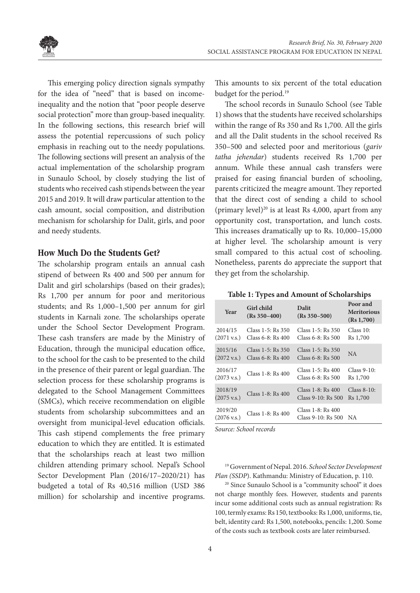

This emerging policy direction signals sympathy for the idea of "need" that is based on incomeinequality and the notion that "poor people deserve social protection" more than group-based inequality. In the following sections, this research brief will assess the potential repercussions of such policy emphasis in reaching out to the needy populations. The following sections will present an analysis of the actual implementation of the scholarship program in Sunaulo School, by closely studying the list of students who received cash stipends between the year 2015 and 2019. It will draw particular attention to the cash amount, social composition, and distribution mechanism for scholarship for Dalit, girls, and poor and needy students.

#### **How Much Do the Students Get?**

The scholarship program entails an annual cash stipend of between Rs 400 and 500 per annum for Dalit and girl scholarships (based on their grades); Rs 1,700 per annum for poor and meritorious students; and Rs 1,000–1,500 per annum for girl students in Karnali zone. The scholarships operate under the School Sector Development Program. These cash transfers are made by the Ministry of Education, through the municipal education office, to the school for the cash to be presented to the child in the presence of their parent or legal guardian. The selection process for these scholarship programs is delegated to the School Management Committees (SMCs), which receive recommendation on eligible students from scholarship subcommittees and an oversight from municipal-level education officials. This cash stipend complements the free primary education to which they are entitled. It is estimated that the scholarships reach at least two million children attending primary school. Nepal's School Sector Development Plan (2016/17–2020/21) has budgeted a total of Rs 40,516 million (USD 386 million) for scholarship and incentive programs.

This amounts to six percent of the total education budget for the period.<sup>19</sup>

The school records in Sunaulo School (see Table 1) shows that the students have received scholarships within the range of Rs 350 and Rs 1,700. All the girls and all the Dalit students in the school received Rs 350–500 and selected poor and meritorious (*gariv tatha jehendar*) students received Rs 1,700 per annum. While these annual cash transfers were praised for easing financial burden of schooling, parents criticized the meagre amount. They reported that the direct cost of sending a child to school (primary level)<sup>20</sup> is at least Rs 4,000, apart from any opportunity cost, transportation, and lunch costs. This increases dramatically up to Rs. 10,000–15,000 at higher level. The scholarship amount is very small compared to this actual cost of schooling. Nonetheless, parents do appreciate the support that they get from the scholarship.

|  |  |  | Table 1: Types and Amount of Scholarships |  |  |  |  |
|--|--|--|-------------------------------------------|--|--|--|--|
|--|--|--|-------------------------------------------|--|--|--|--|

| Year                             | Girl child<br>$(Rs 350 - 400)$ | Dalit<br>$(Rs 350 - 500)$               | Poor and<br><b>Meritorious</b><br>(Rs 1,700) |
|----------------------------------|--------------------------------|-----------------------------------------|----------------------------------------------|
| 2014/15                          | Class 1-5: Rs 350              | Class 1-5: Rs 350                       | Class 10:                                    |
| $(2071 \text{ v.s.})$            | Class 6-8: Rs 400              | Class 6-8: Rs 500                       | R <sub>s</sub> 1,700                         |
| 2015/16                          | Class 1-5: Rs 350              | Class 1-5: Rs 350                       | <b>NA</b>                                    |
| $(2072 \text{ v.s.})$            | Class 6-8: Rs 400              | Class 6-8: Rs 500                       |                                              |
| 2016/17                          | Class 1-8: Rs 400              | Class 1-5: Rs 400                       | $Class 9-10:$                                |
| $(2073 \text{ v.s.})$            |                                | Class 6-8: Rs 500                       | R <sub>s</sub> 1,700                         |
| 2018/19                          | Class 1-8: Rs 400              | Class 1-8: Rs 400                       | $Class 8-10:$                                |
| $(2075 \text{ v.s.})$            |                                | Class 9-10: Rs 500                      | R <sub>s</sub> 1,700                         |
| 2019/20<br>$(2076 \text{ v.s.})$ | Class 1-8: Rs 400              | Class 1-8: Rs 400<br>Class 9-10: Rs 500 | NA.                                          |

*Source: School records*

19 Government of Nepal. 2016. *School Sector Development* 

*Plan (SSDP)*. Kathmandu: Ministry of Education, p. 110.<br><sup>20</sup> Since Sunaulo School is a "community school" it does not charge monthly fees. However, students and parents incur some additional costs such as annual registration: Rs 100, termly exams: Rs 150, textbooks: Rs 1,000, uniforms, tie, belt, identity card: Rs 1,500, notebooks, pencils: 1,200. Some of the costs such as textbook costs are later reimbursed.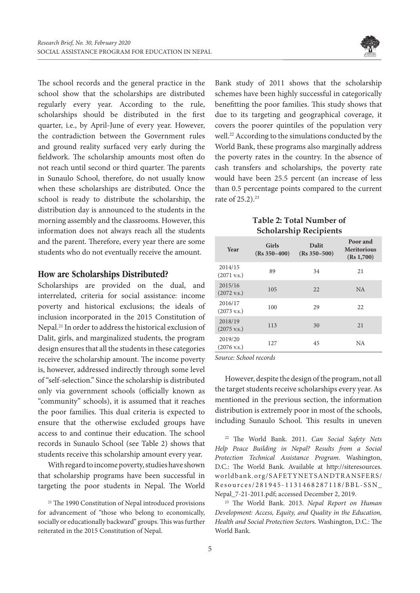

The school records and the general practice in the school show that the scholarships are distributed regularly every year. According to the rule, scholarships should be distributed in the first quarter, i.e., by April-June of every year. However, the contradiction between the Government rules and ground reality surfaced very early during the fieldwork. The scholarship amounts most often do not reach until second or third quarter. The parents in Sunaulo School, therefore, do not usually know when these scholarships are distributed. Once the school is ready to distribute the scholarship, the distribution day is announced to the students in the morning assembly and the classrooms. However, this information does not always reach all the students and the parent. Therefore, every year there are some students who do not eventually receive the amount.

#### **How are Scholarships Distributed?**

Scholarships are provided on the dual, and interrelated, criteria for social assistance: income poverty and historical exclusions; the ideals of inclusion incorporated in the 2015 Constitution of Nepal.21 In order to address the historical exclusion of Dalit, girls, and marginalized students, the program design ensures that all the students in these categories receive the scholarship amount. The income poverty is, however, addressed indirectly through some level of "self-selection." Since the scholarship is distributed only via government schools (officially known as "community" schools), it is assumed that it reaches the poor families. This dual criteria is expected to ensure that the otherwise excluded groups have access to and continue their education. The school records in Sunaulo School (see Table 2) shows that students receive this scholarship amount every year.

With regard to income poverty, studies have shown that scholarship programs have been successful in targeting the poor students in Nepal. The World Bank study of 2011 shows that the scholarship schemes have been highly successful in categorically benefitting the poor families. This study shows that due to its targeting and geographical coverage, it covers the poorer quintiles of the population very well.<sup>22</sup> According to the simulations conducted by the World Bank, these programs also marginally address the poverty rates in the country. In the absence of cash transfers and scholarships, the poverty rate would have been 25.5 percent (an increase of less than 0.5 percentage points compared to the current rate of 25.2).<sup>23</sup>

#### **Table 2: Total Number of Scholarship Recipients**

| Year                             | Girls<br>$(Rs 350 - 400)$ | <b>Dalit</b><br>$(Rs 350 - 500)$ | Poor and<br><b>Meritorious</b><br>(Rs 1,700) |
|----------------------------------|---------------------------|----------------------------------|----------------------------------------------|
| 2014/15<br>$(2071 \text{ v.s.})$ | 89                        | 34                               | 21                                           |
| 2015/16<br>$(2072 \text{ v.s.})$ | 105                       | 22                               | NA.                                          |
| 2016/17<br>$(2073 \text{ v.s.})$ | 100                       | 29                               | 22                                           |
| 2018/19<br>$(2075 \text{ v.s.})$ | 113                       | 30                               | 21                                           |
| 2019/20<br>$(2076 \text{ v.s.})$ | 127                       | 45                               | NA                                           |

*Source: School records*

However, despite the design of the program, not all the target students receive scholarships every year. As mentioned in the previous section, the information distribution is extremely poor in most of the schools, including Sunaulo School. This results in uneven

22 The World Bank. 2011. *Can Social Safety Nets Help Peace Building in Nepal? Results from a Social Protection Technical Assistance Program*. Washington, D.C.: The World Bank. Available at http://siteresources. worldbank.org/SAFETYNETSANDTRANSFERS/ Resources/281945-1131468287118/BBL-SSN\_ Nepal\_7-21-2011.pdf; accessed December 2, 2019.

23 The World Bank. 2013. *Nepal Report on Human Development: Access, Equity, and Quality in the Education, Health and Social Protection Sector*s. Washington, D.C.: The World Bank.

<sup>&</sup>lt;sup>21</sup> The 1990 Constitution of Nepal introduced provisions for advancement of "those who belong to economically, socially or educationally backward" groups. This was further reiterated in the 2015 Constitution of Nepal.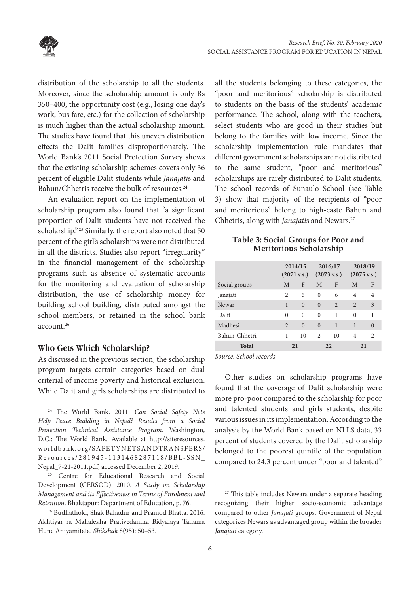



distribution of the scholarship to all the students. Moreover, since the scholarship amount is only Rs 350–400, the opportunity cost (e.g., losing one day's work, bus fare, etc.) for the collection of scholarship is much higher than the actual scholarship amount. The studies have found that this uneven distribution effects the Dalit families disproportionately. The World Bank's 2011 Social Protection Survey shows that the existing scholarship schemes covers only 36 percent of eligible Dalit students while *Janajati*s and Bahun/Chhetris receive the bulk of resources.<sup>24</sup>

An evaluation report on the implementation of scholarship program also found that "a significant proportion of Dalit students have not received the scholarship." <sup>25</sup> Similarly, the report also noted that 50 percent of the girl's scholarships were not distributed in all the districts. Studies also report "irregularity" in the financial management of the scholarship programs such as absence of systematic accounts for the monitoring and evaluation of scholarship distribution, the use of scholarship money for building school building, distributed amongst the school members, or retained in the school bank account.26

#### **Who Gets Which Scholarship?**

As discussed in the previous section, the scholarship program targets certain categories based on dual criterial of income poverty and historical exclusion. While Dalit and girls scholarships are distributed to

24 The World Bank. 2011. *Can Social Safety Nets Help Peace Building in Nepal? Results from a Social Protection Technical Assistance Program*. Washington, D.C.: The World Bank. Available at http://siteresources. worldbank.org/SAFETYNETSANDTRANSFERS/ Resources/281945-1131468287118/BBL-SSN\_ Nepal\_7-21-2011.pdf; accessed December 2, 2019.

<sup>25</sup> Centre for Educational Research and Social Development (CERSOD). 2010. *A Study on Scholarship Management and its Effectiveness in Terms of Enrolment and Retention*. Bhaktapur: Department of Education, p. 76.

26 Budhathoki, Shak Bahadur and Pramod Bhatta. 2016. Akhtiyar ra Mahalekha Prativedanma Bidyalaya Tahama Hune Aniyamitata. *Shikshak* 8(95): 50–53.

all the students belonging to these categories, the "poor and meritorious" scholarship is distributed to students on the basis of the students' academic performance. The school, along with the teachers, select students who are good in their studies but belong to the families with low income. Since the scholarship implementation rule mandates that different government scholarships are not distributed to the same student, "poor and meritorious" scholarships are rarely distributed to Dalit students. The school records of Sunaulo School (see Table 3) show that majority of the recipients of "poor and meritorious" belong to high-caste Bahun and Chhetris, along with *Janajatis* and Newars.<sup>27</sup>

#### **Table 3: Social Groups for Poor and Meritorious Scholarship**

|               |                | 2014/15<br>$(2071 \text{ v.s.})$ |                | 2016/17<br>$(2073 \text{ v.s.})$ | $(2075 \text{ v.s.})$ | 2018/19               |
|---------------|----------------|----------------------------------|----------------|----------------------------------|-----------------------|-----------------------|
| Social groups | M              | F                                | M              | F                                | M                     | F                     |
| Janajati      | 2              | 5                                | $\Omega$       | 6                                | $\overline{4}$        | $\overline{4}$        |
| Newar         | 1              | $\mathbf{0}$                     | $\Omega$       | $\overline{2}$                   | 2                     | 3                     |
| Dalit         | $\Omega$       | $\Omega$                         | $\Omega$       | 1                                | $\theta$              | 1                     |
| Madhesi       | $\mathfrak{D}$ | $\Omega$                         | $\Omega$       | 1                                | 1                     | $\Omega$              |
| Bahun-Chhetri | 1              | 10                               | $\mathfrak{D}$ | 10                               | $\overline{4}$        | $\mathcal{D}_{\cdot}$ |
| <b>Total</b>  | 21             |                                  |                | 22                               | 21                    |                       |

*Source: School records*

Other studies on scholarship programs have found that the coverage of Dalit scholarship were more pro-poor compared to the scholarship for poor and talented students and girls students, despite various issues in its implementation. According to the analysis by the World Bank based on NLLS data, 33 percent of students covered by the Dalit scholarship belonged to the poorest quintile of the population compared to 24.3 percent under "poor and talented"

<sup>27</sup> This table includes Newars under a separate heading recognizing their higher socio-economic advantage compared to other *Janajati* groups. Government of Nepal categorizes Newars as advantaged group within the broader *Janajati* category.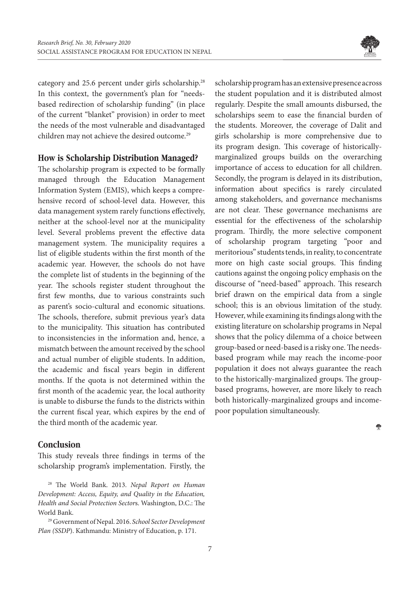

category and 25.6 percent under girls scholarship.28 In this context, the government's plan for "needsbased redirection of scholarship funding" (in place of the current "blanket" provision) in order to meet the needs of the most vulnerable and disadvantaged children may not achieve the desired outcome.<sup>29</sup>

#### **How is Scholarship Distribution Managed?**

The scholarship program is expected to be formally managed through the Education Management Information System (EMIS), which keeps a comprehensive record of school-level data. However, this data management system rarely functions effectively, neither at the school-level nor at the municipality level. Several problems prevent the effective data management system. The municipality requires a list of eligible students within the first month of the academic year. However, the schools do not have the complete list of students in the beginning of the year. The schools register student throughout the first few months, due to various constraints such as parent's socio-cultural and economic situations. The schools, therefore, submit previous year's data to the municipality. This situation has contributed to inconsistencies in the information and, hence, a mismatch between the amount received by the school and actual number of eligible students. In addition, the academic and fiscal years begin in different months. If the quota is not determined within the first month of the academic year, the local authority is unable to disburse the funds to the districts within the current fiscal year, which expires by the end of the third month of the academic year.

### **Conclusion**

This study reveals three findings in terms of the scholarship program's implementation. Firstly, the

28 The World Bank. 2013. *Nepal Report on Human Development: Access, Equity, and Quality in the Education, Health and Social Protection Sector*s. Washington, D.C.: The World Bank.

29 Government of Nepal. 2016. *School Sector Development Plan (SSDP*). Kathmandu: Ministry of Education, p. 171.

scholarship program has an extensive presence across the student population and it is distributed almost regularly. Despite the small amounts disbursed, the scholarships seem to ease the financial burden of the students. Moreover, the coverage of Dalit and girls scholarship is more comprehensive due to its program design. This coverage of historicallymarginalized groups builds on the overarching importance of access to education for all children. Secondly, the program is delayed in its distribution, information about specifics is rarely circulated among stakeholders, and governance mechanisms are not clear. These governance mechanisms are essential for the effectiveness of the scholarship program. Thirdly, the more selective component of scholarship program targeting "poor and meritorious" students tends, in reality, to concentrate more on high caste social groups. This finding cautions against the ongoing policy emphasis on the discourse of "need-based" approach. This research brief drawn on the empirical data from a single school; this is an obvious limitation of the study. However, while examining its findings along with the existing literature on scholarship programs in Nepal shows that the policy dilemma of a choice between group-based or need-based is a risky one. The needsbased program while may reach the income-poor population it does not always guarantee the reach to the historically-marginalized groups. The groupbased programs, however, are more likely to reach both historically-marginalized groups and incomepoor population simultaneously.

÷